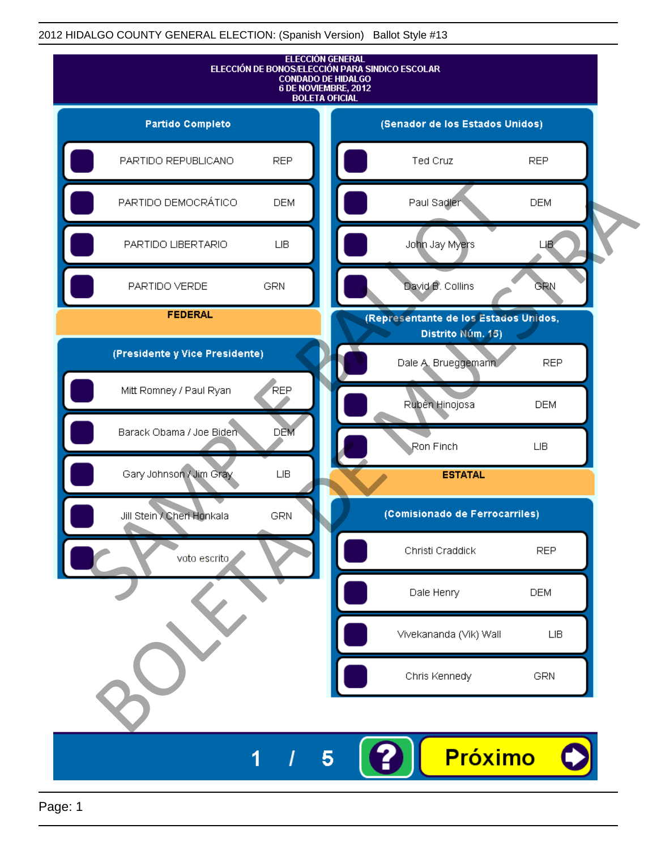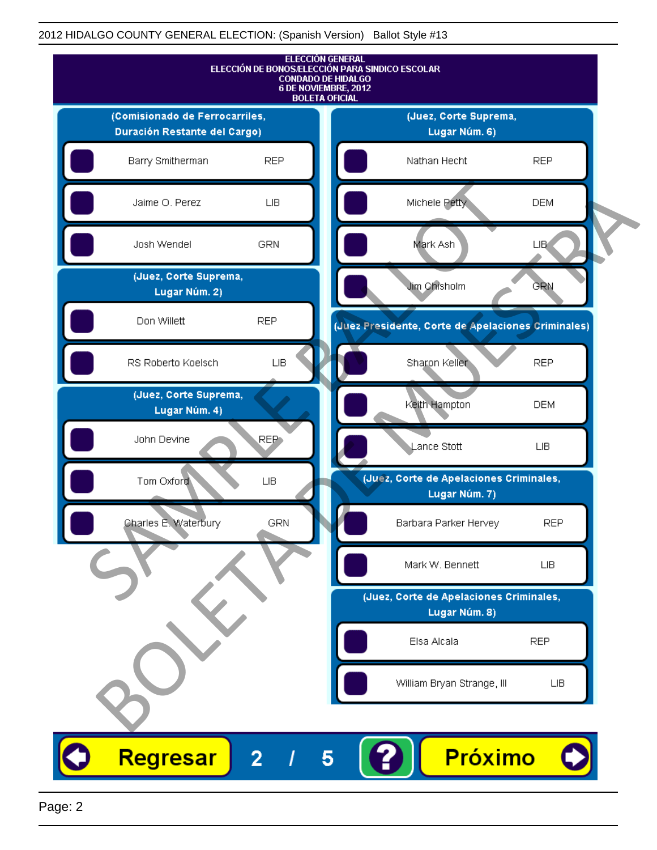

Page: 2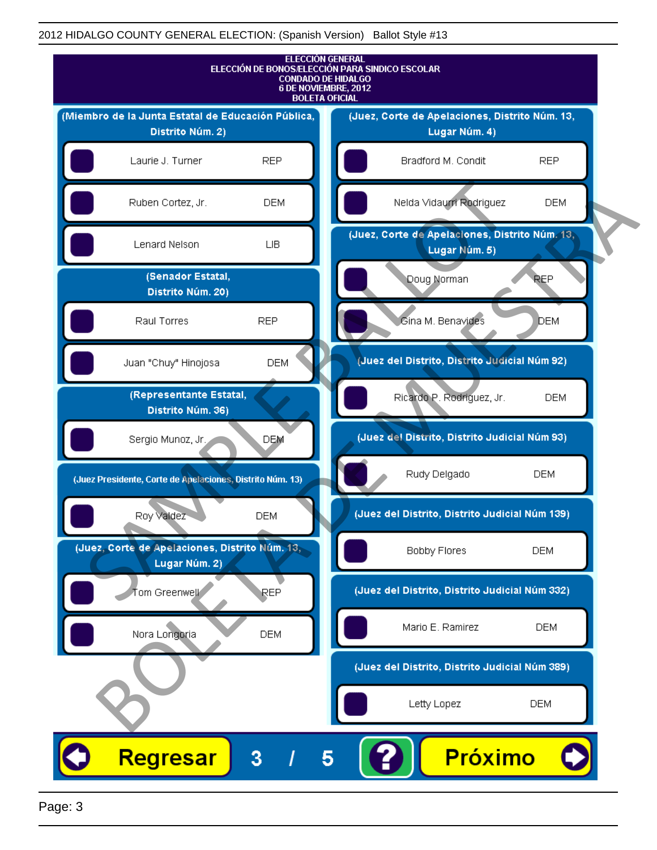

Page: 3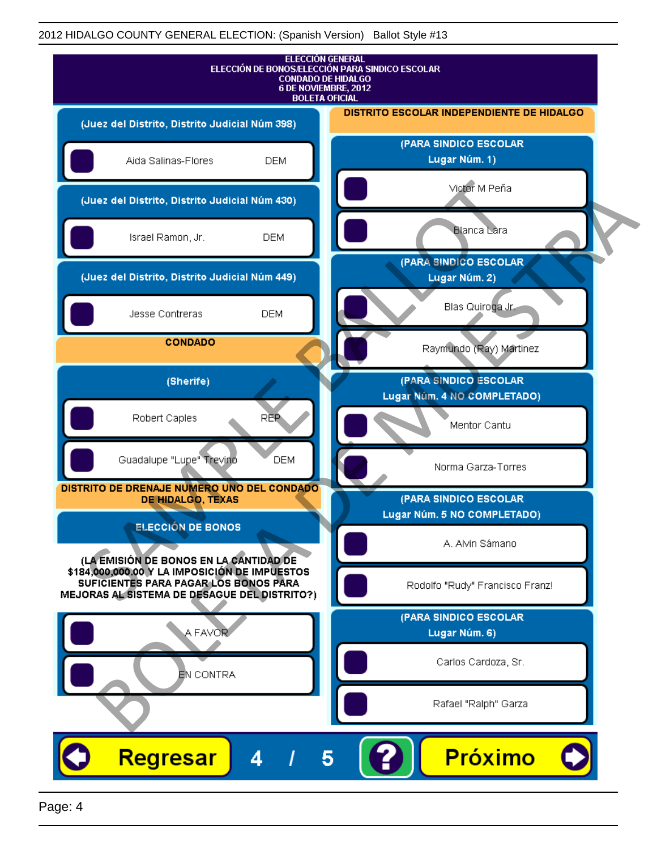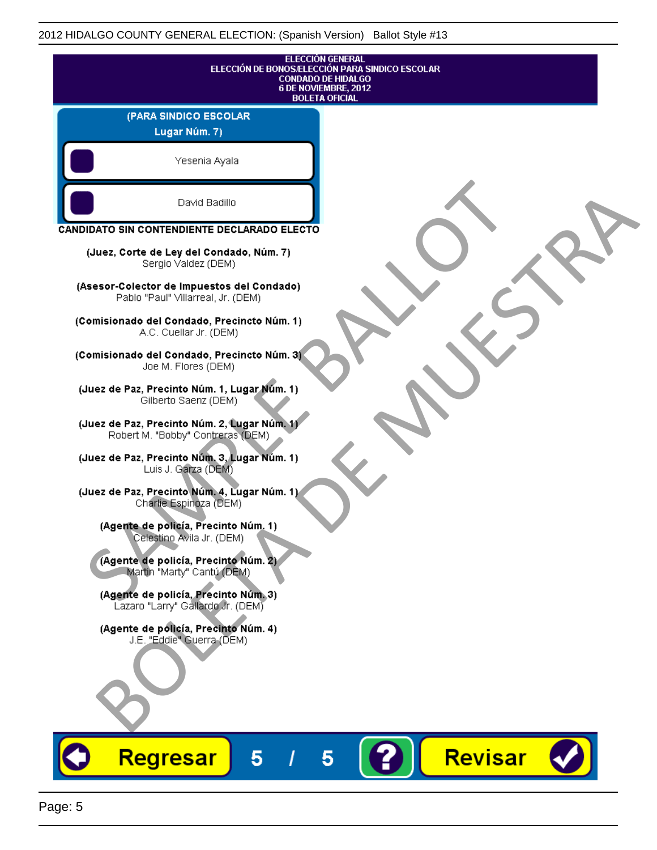|                                                                                   | <b>ELECCIÓN GENERAL</b><br>ELECCIÓN DE BONOS/ELECCIÓN PARA SINDICO ESCOLAR<br><b>CONDADO DE HIDALGO</b><br>6 DE NOVIEMBRE, 2012<br><b>BOLETA OFICIAL</b> |
|-----------------------------------------------------------------------------------|----------------------------------------------------------------------------------------------------------------------------------------------------------|
| (PARA SINDICO ESCOLAR<br>Lugar Núm. 7)                                            |                                                                                                                                                          |
| Yesenia Ayala                                                                     |                                                                                                                                                          |
| David Badillo                                                                     |                                                                                                                                                          |
| CANDIDATO SIN CONTENDIENTE DECLARADO ELECTO                                       |                                                                                                                                                          |
| (Juez, Corte de Ley del Condado, Núm. 7)<br>Sergio Valdez (DEM)                   |                                                                                                                                                          |
| (Asesor-Colector de Impuestos del Condado)<br>Pablo "Paul" Villarreal, Jr. (DEM)  |                                                                                                                                                          |
| (Comisionado del Condado, Precincto Núm. 1)<br>A.C. Cuellar Jr. (DEM)             |                                                                                                                                                          |
| (Comisionado del Condado, Precincto Núm. 3)<br>Joe M. Flores (DEM)                |                                                                                                                                                          |
| (Juez de Paz, Precinto Núm. 1, Lugar Núm. 1)<br>Gilberto Saenz (DEM)              |                                                                                                                                                          |
| (Juez de Paz, Precinto Núm. 2, Lugar Núm. 1)<br>Robert M. "Bobby" Contreras (DEM) |                                                                                                                                                          |
| (Juez de Paz, Precinto Núm. 3, Lugar Núm. 1)<br>Luis J. Garza (DEM)               |                                                                                                                                                          |
| (Juez de Paz, Precinto Núm. 4, Lugar Núm. 1)<br>Charlie Espinoza (DEM)            |                                                                                                                                                          |
| (Agente de policía, Precinto Núm. 1)<br>Celestino Avila Jr. (DEM)                 |                                                                                                                                                          |
| (Agente de policía, Precinto Núm. 2)<br>Martin "Marty" Cantú (DEM)                |                                                                                                                                                          |
| (Agente de policía, Precinto Núm. 3)<br>Lazaro "Larry" Gallardo Jr. (DEM)         |                                                                                                                                                          |
| (Agente de policía, Precinto Núm. 4)<br>J.E. "Eddie" Guerra (DEM)                 |                                                                                                                                                          |
|                                                                                   |                                                                                                                                                          |
|                                                                                   |                                                                                                                                                          |
| <b>Regresar</b><br>5                                                              | Revisar<br>5                                                                                                                                             |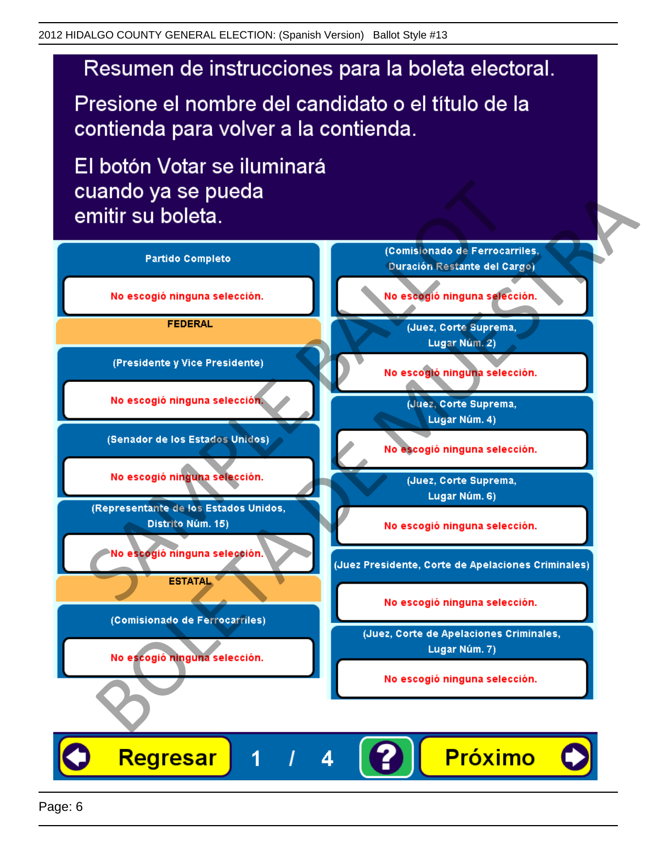Presione el nombre del candidato o el título de la contienda para volver a la contienda.

El botón Votar se iluminará

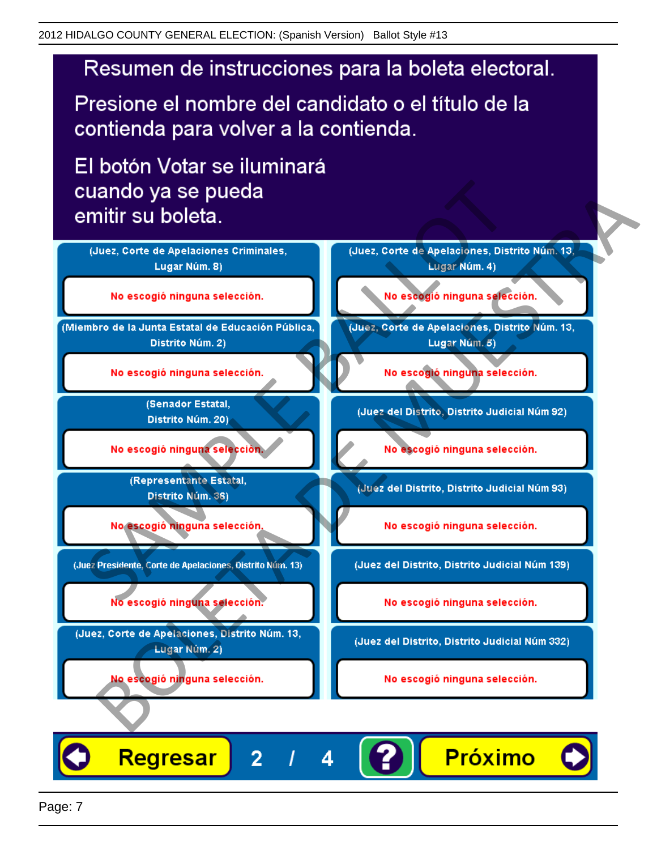Presione el nombre del candidato o el título de la contienda para volver a la contienda.

El botón Votar se iluminará

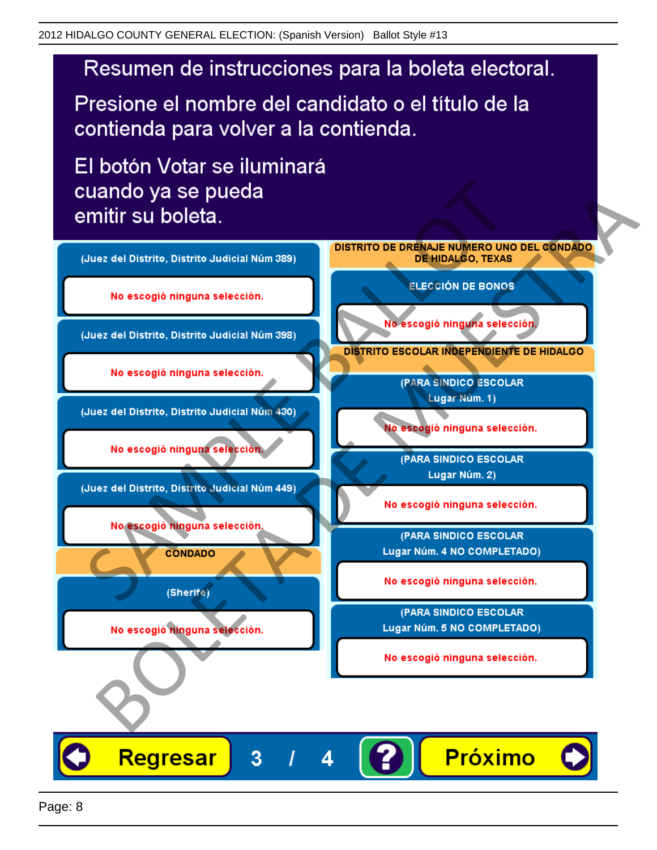Presione el nombre del candidato o el título de la contienda para volver a la contienda.

El botón Votar se iluminará